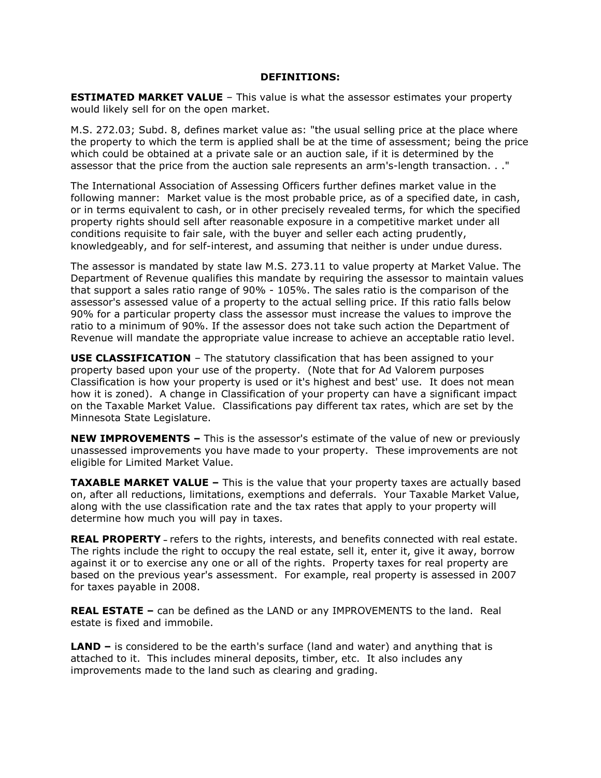## **DEFINITIONS:**

**ESTIMATED MARKET VALUE** - This value is what the assessor estimates your property would likely sell for on the open market.

M.S. 272.03; Subd. 8, defines market value as: "the usual selling price at the place where the property to which the term is applied shall be at the time of assessment; being the price which could be obtained at a private sale or an auction sale, if it is determined by the assessor that the price from the auction sale represents an arm's-length transaction. . ."

The International Association of Assessing Officers further defines market value in the following manner: Market value is the most probable price, as of a specified date, in cash, or in terms equivalent to cash, or in other precisely revealed terms, for which the specified property rights should sell after reasonable exposure in a competitive market under all conditions requisite to fair sale, with the buyer and seller each acting prudently, knowledgeably, and for self-interest, and assuming that neither is under undue duress.

The assessor is mandated by state law M.S. 273.11 to value property at Market Value. The Department of Revenue qualifies this mandate by requiring the assessor to maintain values that support a sales ratio range of 90% - 105%. The sales ratio is the comparison of the assessor's assessed value of a property to the actual selling price. If this ratio falls below 90% for a particular property class the assessor must increase the values to improve the ratio to a minimum of 90%. If the assessor does not take such action the Department of Revenue will mandate the appropriate value increase to achieve an acceptable ratio level.

**USE CLASSIFICATION** – The statutory classification that has been assigned to your property based upon your use of the property. (Note that for Ad Valorem purposes Classification is how your property is used or it's highest and best' use. It does not mean how it is zoned). A change in Classification of your property can have a significant impact on the Taxable Market Value. Classifications pay different tax rates, which are set by the Minnesota State Legislature.

**NEW IMPROVEMENTS –** This is the assessor's estimate of the value of new or previously unassessed improvements you have made to your property. These improvements are not eligible for Limited Market Value.

**TAXABLE MARKET VALUE –** This is the value that your property taxes are actually based on, after all reductions, limitations, exemptions and deferrals. Your Taxable Market Value, along with the use classification rate and the tax rates that apply to your property will determine how much you will pay in taxes.

**REAL PROPERTY –** refers to the rights, interests, and benefits connected with real estate. The rights include the right to occupy the real estate, sell it, enter it, give it away, borrow against it or to exercise any one or all of the rights. Property taxes for real property are based on the previous year's assessment. For example, real property is assessed in 2007 for taxes payable in 2008.

**REAL ESTATE –** can be defined as the LAND or any IMPROVEMENTS to the land. Real estate is fixed and immobile.

**LAND –** is considered to be the earth's surface (land and water) and anything that is attached to it. This includes mineral deposits, timber, etc. It also includes any improvements made to the land such as clearing and grading.